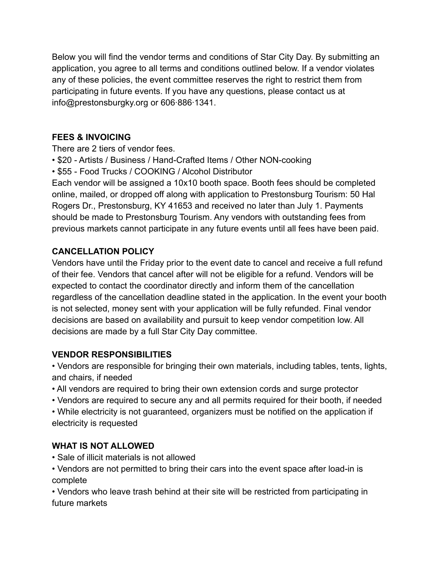Below you will find the vendor terms and conditions of Star City Day. By submitting an application, you agree to all terms and conditions outlined below. If a vendor violates any of these policies, the event committee reserves the right to restrict them from participating in future events. If you have any questions, please contact us at info@prestonsburgky.org or 606∙886∙1341.

### **FEES & INVOICING**

There are 2 tiers of vendor fees.

- \$20 Artists / Business / Hand-Crafted Items / Other NON-cooking
- \$55 Food Trucks / COOKING / Alcohol Distributor

Each vendor will be assigned a 10x10 booth space. Booth fees should be completed online, mailed, or dropped off along with application to Prestonsburg Tourism: 50 Hal Rogers Dr., Prestonsburg, KY 41653 and received no later than July 1. Payments should be made to Prestonsburg Tourism. Any vendors with outstanding fees from previous markets cannot participate in any future events until all fees have been paid.

# **CANCELLATION POLICY**

Vendors have until the Friday prior to the event date to cancel and receive a full refund of their fee. Vendors that cancel after will not be eligible for a refund. Vendors will be expected to contact the coordinator directly and inform them of the cancellation regardless of the cancellation deadline stated in the application. In the event your booth is not selected, money sent with your application will be fully refunded. Final vendor decisions are based on availability and pursuit to keep vendor competition low. All decisions are made by a full Star City Day committee.

# **VENDOR RESPONSIBILITIES**

• Vendors are responsible for bringing their own materials, including tables, tents, lights, and chairs, if needed

- All vendors are required to bring their own extension cords and surge protector
- Vendors are required to secure any and all permits required for their booth, if needed

• While electricity is not guaranteed, organizers must be notified on the application if electricity is requested

# **WHAT IS NOT ALLOWED**

- Sale of illicit materials is not allowed
- Vendors are not permitted to bring their cars into the event space after load-in is complete

• Vendors who leave trash behind at their site will be restricted from participating in future markets